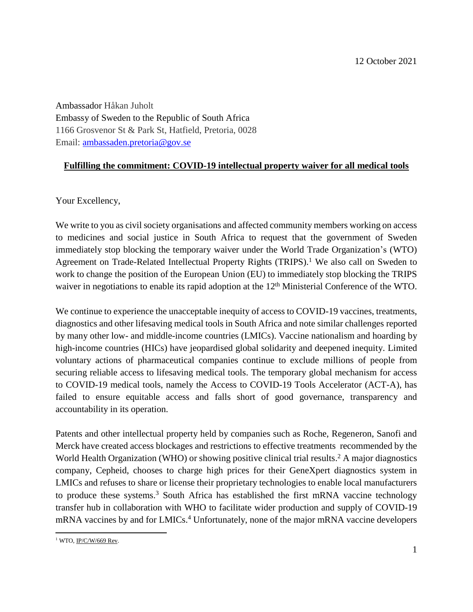Ambassador Håkan Juholt Embassy of Sweden to the Republic of South Africa 1166 Grosvenor St & Park St, Hatfield, Pretoria, 0028 Email: [ambassaden.pretoria@gov.se](mailto:ambassaden.pretoria@gov.se)

## **Fulfilling the commitment: COVID-19 intellectual property waiver for all medical tools**

Your Excellency,

We write to you as civil society organisations and affected community members working on access to medicines and social justice in South Africa to request that the government of Sweden immediately stop blocking the temporary waiver under the World Trade Organization's (WTO) Agreement on Trade-Related Intellectual Property Rights (TRIPS).<sup>1</sup> We also call on Sweden to work to change the position of the European Union (EU) to immediately stop blocking the TRIPS waiver in negotiations to enable its rapid adoption at the 12<sup>th</sup> Ministerial Conference of the WTO.

We continue to experience the unacceptable inequity of access to COVID-19 vaccines, treatments, diagnostics and other lifesaving medical tools in South Africa and note similar challenges reported by many other low- and middle-income countries (LMICs). Vaccine nationalism and hoarding by high-income countries (HICs) have jeopardised global solidarity and deepened inequity. Limited voluntary actions of pharmaceutical companies continue to exclude millions of people from securing reliable access to lifesaving medical tools. The temporary global mechanism for access to COVID-19 medical tools, namely the Access to COVID-19 Tools Accelerator (ACT-A), has failed to ensure equitable access and falls short of good governance, transparency and accountability in its operation.

Patents and other intellectual property held by companies such as Roche, Regeneron, Sanofi and Merck have created access blockages and restrictions to effective treatments recommended by the World Health Organization (WHO) or showing positive clinical trial results. <sup>2</sup> A major diagnostics company, Cepheid, chooses to charge high prices for their GeneXpert diagnostics system in LMICs and refuses to share or license their proprietary technologies to enable local manufacturers to produce these systems. <sup>3</sup> South Africa has established the first mRNA vaccine technology transfer hub in collaboration with WHO to facilitate wider production and supply of COVID-19 mRNA vaccines by and for LMICs. <sup>4</sup> Unfortunately, none of the major mRNA vaccine developers

 $\overline{\phantom{a}}$ <sup>1</sup> WTO, <u>IP/C/W/669 Rev</u>.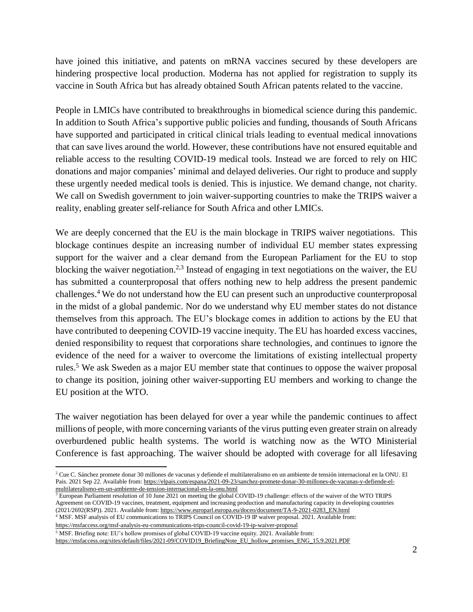have joined this initiative, and patents on mRNA vaccines secured by these developers are hindering prospective local production. Moderna has not applied for registration to supply its vaccine in South Africa but has already obtained South African patents related to the vaccine.

People in LMICs have contributed to breakthroughs in biomedical science during this pandemic. In addition to South Africa's supportive public policies and funding, thousands of South Africans have supported and participated in critical clinical trials leading to eventual medical innovations that can save lives around the world. However, these contributions have not ensured equitable and reliable access to the resulting COVID-19 medical tools. Instead we are forced to rely on HIC donations and major companies' minimal and delayed deliveries. Our right to produce and supply these urgently needed medical tools is denied. This is injustice. We demand change, not charity. We call on Swedish government to join waiver-supporting countries to make the TRIPS waiver a reality, enabling greater self-reliance for South Africa and other LMICs.

We are deeply concerned that the EU is the main blockage in TRIPS waiver negotiations. This blockage continues despite an increasing number of individual EU member states expressing support for the waiver and a clear demand from the European Parliament for the EU to stop blocking the waiver negotiation.<sup>2,3</sup> Instead of engaging in text negotiations on the waiver, the EU has submitted a counterproposal that offers nothing new to help address the present pandemic challenges.<sup>4</sup> We do not understand how the EU can present such an unproductive counterproposal in the midst of a global pandemic. Nor do we understand why EU member states do not distance themselves from this approach. The EU's blockage comes in addition to actions by the EU that have contributed to deepening COVID-19 vaccine inequity. The EU has hoarded excess vaccines, denied responsibility to request that corporations share technologies, and continues to ignore the evidence of the need for a waiver to overcome the limitations of existing intellectual property rules. <sup>5</sup> We ask Sweden as a major EU member state that continues to oppose the waiver proposal to change its position, joining other waiver-supporting EU members and working to change the EU position at the WTO.

The waiver negotiation has been delayed for over a year while the pandemic continues to affect millions of people, with more concerning variants of the virus putting even greater strain on already overburdened public health systems. The world is watching now as the WTO Ministerial Conference is fast approaching. The waiver should be adopted with coverage for all lifesaving

 $3$  European Parliament resolution of 10 June 2021 on meeting the global COVID-19 challenge: effects of the waiver of the WTO TRIPS Agreement on COVID-19 vaccines, treatment, equipment and increasing production and manufacturing capacity in developing countries (2021/2692(RSP)). 2021. Available from: [https://www.europarl.europa.eu/doceo/document/TA-9-2021-0283\\_EN.html](https://www.europarl.europa.eu/doceo/document/TA-9-2021-0283_EN.html)

<sup>4</sup> MSF. MSF analysis of EU communications to TRIPS Council on COVID-19 IP waiver proposal. 2021. Available from: <https://msfaccess.org/msf-analysis-eu-communications-trips-council-covid-19-ip-waiver-proposal>

<sup>5</sup> MSF. Briefing note: EU's hollow promises of global COVID-19 vaccine equity. 2021. Available from:

 $\overline{\phantom{a}}$ 

[https://msfaccess.org/sites/default/files/2021-09/COVID19\\_BriefingNote\\_EU\\_hollow\\_promises\\_ENG\\_15.9.2021.PDF](https://msfaccess.org/sites/default/files/2021-09/COVID19_BriefingNote_EU_hollow_promises_ENG_15.9.2021.PDF)

<sup>2</sup> Cue C. Sánchez promete donar 30 millones de vacunas y defiende el multilateralismo en un ambiente de tensión internacional en la ONU. El Pais. 2021 Sep 22. Available from[: https://elpais.com/espana/2021-09-23/sanchez-promete-donar-30-millones-de-vacunas-y-defiende-el](https://elpais.com/espana/2021-09-23/sanchez-promete-donar-30-millones-de-vacunas-y-defiende-el-multilateralismo-en-un-ambiente-de-tension-internacional-en-la-onu.html)[multilateralismo-en-un-ambiente-de-tension-internacional-en-la-onu.html](https://elpais.com/espana/2021-09-23/sanchez-promete-donar-30-millones-de-vacunas-y-defiende-el-multilateralismo-en-un-ambiente-de-tension-internacional-en-la-onu.html)